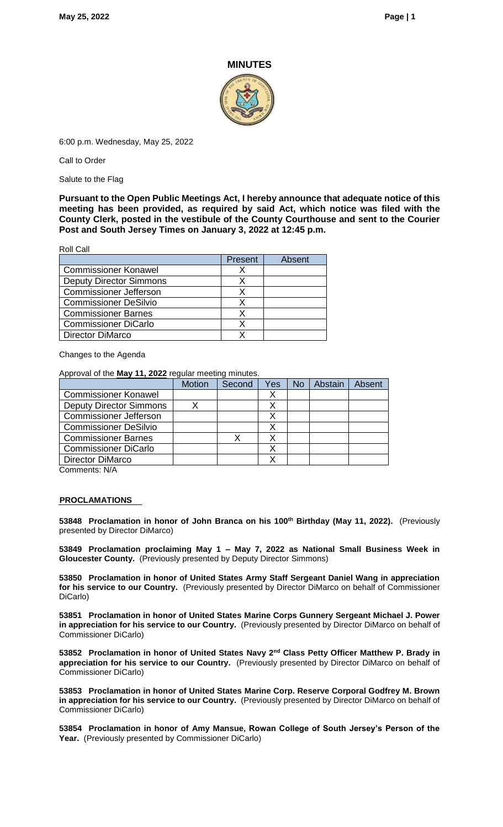### **MINUTES**



6:00 p.m. Wednesday, May 25, 2022

Call to Order

Salute to the Flag

**Pursuant to the Open Public Meetings Act, I hereby announce that adequate notice of this meeting has been provided, as required by said Act, which notice was filed with the County Clerk, posted in the vestibule of the County Courthouse and sent to the Courier Post and South Jersey Times on January 3, 2022 at 12:45 p.m.**

Roll Call

|                                | Present | Absent |
|--------------------------------|---------|--------|
| <b>Commissioner Konawel</b>    |         |        |
| <b>Deputy Director Simmons</b> |         |        |
| <b>Commissioner Jefferson</b>  |         |        |
| <b>Commissioner DeSilvio</b>   |         |        |
| <b>Commissioner Barnes</b>     |         |        |
| <b>Commissioner DiCarlo</b>    |         |        |
| <b>Director DiMarco</b>        |         |        |

Changes to the Agenda

Approval of the **May 11, 2022** regular meeting minutes.

|                                | <b>Motion</b> | Second | Yes | No | Abstain | <b>Absent</b> |
|--------------------------------|---------------|--------|-----|----|---------|---------------|
| <b>Commissioner Konawel</b>    |               |        |     |    |         |               |
| <b>Deputy Director Simmons</b> |               |        |     |    |         |               |
| <b>Commissioner Jefferson</b>  |               |        |     |    |         |               |
| <b>Commissioner DeSilvio</b>   |               |        |     |    |         |               |
| <b>Commissioner Barnes</b>     |               |        |     |    |         |               |
| <b>Commissioner DiCarlo</b>    |               |        |     |    |         |               |
| Director DiMarco               |               |        |     |    |         |               |
|                                |               |        |     |    |         |               |

Comments: N/A

#### **PROCLAMATIONS**

**53848 Proclamation in honor of John Branca on his 100th Birthday (May 11, 2022).** (Previously presented by Director DiMarco)

**53849 Proclamation proclaiming May 1 – May 7, 2022 as National Small Business Week in Gloucester County.** (Previously presented by Deputy Director Simmons)

**53850 Proclamation in honor of United States Army Staff Sergeant Daniel Wang in appreciation for his service to our Country.** (Previously presented by Director DiMarco on behalf of Commissioner DiCarlo)

**53851 Proclamation in honor of United States Marine Corps Gunnery Sergeant Michael J. Power in appreciation for his service to our Country.** (Previously presented by Director DiMarco on behalf of Commissioner DiCarlo)

**53852 Proclamation in honor of United States Navy 2nd Class Petty Officer Matthew P. Brady in appreciation for his service to our Country.** (Previously presented by Director DiMarco on behalf of Commissioner DiCarlo)

**53853 Proclamation in honor of United States Marine Corp. Reserve Corporal Godfrey M. Brown in appreciation for his service to our Country.** (Previously presented by Director DiMarco on behalf of Commissioner DiCarlo)

**53854 Proclamation in honor of Amy Mansue, Rowan College of South Jersey's Person of the**  Year. (Previously presented by Commissioner DiCarlo)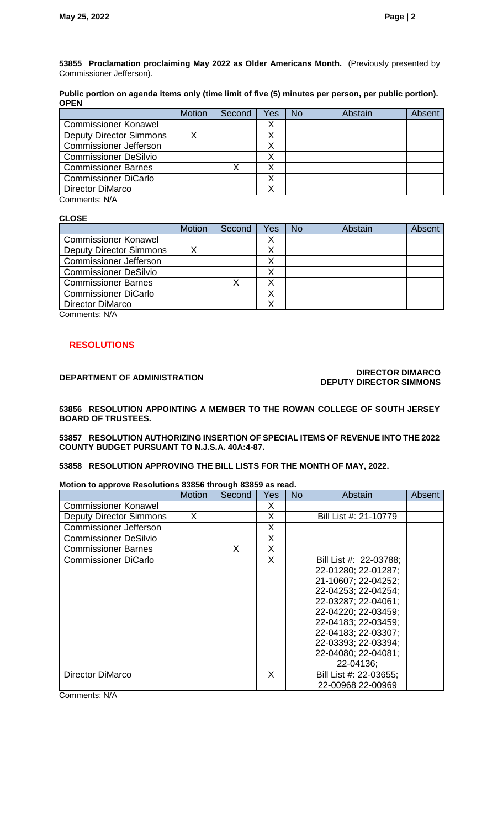**53855 Proclamation proclaiming May 2022 as Older Americans Month.** (Previously presented by Commissioner Jefferson).

**Public portion on agenda items only (time limit of five (5) minutes per person, per public portion). OPEN** 

|                                | <b>Motion</b> | Second | Yes | No | Abstain | Absent |
|--------------------------------|---------------|--------|-----|----|---------|--------|
| <b>Commissioner Konawel</b>    |               |        |     |    |         |        |
| <b>Deputy Director Simmons</b> |               |        |     |    |         |        |
| <b>Commissioner Jefferson</b>  |               |        |     |    |         |        |
| <b>Commissioner DeSilvio</b>   |               |        |     |    |         |        |
| <b>Commissioner Barnes</b>     |               |        |     |    |         |        |
| <b>Commissioner DiCarlo</b>    |               |        |     |    |         |        |
| <b>Director DiMarco</b>        |               |        |     |    |         |        |
|                                |               |        |     |    |         |        |

Comments: N/A

#### **CLOSE**

|                                | <b>Motion</b> | Second | Yes | No | Abstain | Absent |
|--------------------------------|---------------|--------|-----|----|---------|--------|
| <b>Commissioner Konawel</b>    |               |        | ∧   |    |         |        |
| <b>Deputy Director Simmons</b> |               |        |     |    |         |        |
| Commissioner Jefferson         |               |        |     |    |         |        |
| <b>Commissioner DeSilvio</b>   |               |        |     |    |         |        |
| <b>Commissioner Barnes</b>     |               |        |     |    |         |        |
| <b>Commissioner DiCarlo</b>    |               |        |     |    |         |        |
| Director DiMarco               |               |        |     |    |         |        |
| Commonnto: NIA                 |               |        |     |    |         |        |

Comments: N/A

### **RESOLUTIONS**

#### **DEPARTMENT OF ADMINISTRATION DIRECTOR DIMARCO DEPUTY DIRECTOR SIMMONS**

**53856 RESOLUTION APPOINTING A MEMBER TO THE ROWAN COLLEGE OF SOUTH JERSEY BOARD OF TRUSTEES.** 

**53857 RESOLUTION AUTHORIZING INSERTION OF SPECIAL ITEMS OF REVENUE INTO THE 2022 COUNTY BUDGET PURSUANT TO N.J.S.A. 40A:4-87.**

**53858 RESOLUTION APPROVING THE BILL LISTS FOR THE MONTH OF MAY, 2022.**

#### **Motion to approve Resolutions 83856 through 83859 as read.**

|                                | <b>Motion</b> | Second | Yes | <b>No</b> | Abstain                | Absent |
|--------------------------------|---------------|--------|-----|-----------|------------------------|--------|
| <b>Commissioner Konawel</b>    |               |        | X   |           |                        |        |
| <b>Deputy Director Simmons</b> | X             |        | X   |           | Bill List #: 21-10779  |        |
| <b>Commissioner Jefferson</b>  |               |        | X   |           |                        |        |
| <b>Commissioner DeSilvio</b>   |               |        | X   |           |                        |        |
| <b>Commissioner Barnes</b>     |               | X      | X   |           |                        |        |
| <b>Commissioner DiCarlo</b>    |               |        | X   |           | Bill List #: 22-03788; |        |
|                                |               |        |     |           | 22-01280; 22-01287;    |        |
|                                |               |        |     |           | 21-10607; 22-04252;    |        |
|                                |               |        |     |           | 22-04253; 22-04254;    |        |
|                                |               |        |     |           | 22-03287; 22-04061;    |        |
|                                |               |        |     |           | 22-04220; 22-03459;    |        |
|                                |               |        |     |           | 22-04183; 22-03459;    |        |
|                                |               |        |     |           | 22-04183; 22-03307;    |        |
|                                |               |        |     |           | 22-03393; 22-03394;    |        |
|                                |               |        |     |           | 22-04080; 22-04081;    |        |
|                                |               |        |     |           | 22-04136;              |        |
| Director DiMarco               |               |        | X   |           | Bill List #: 22-03655; |        |
|                                |               |        |     |           | 22-00968 22-00969      |        |

Comments: N/A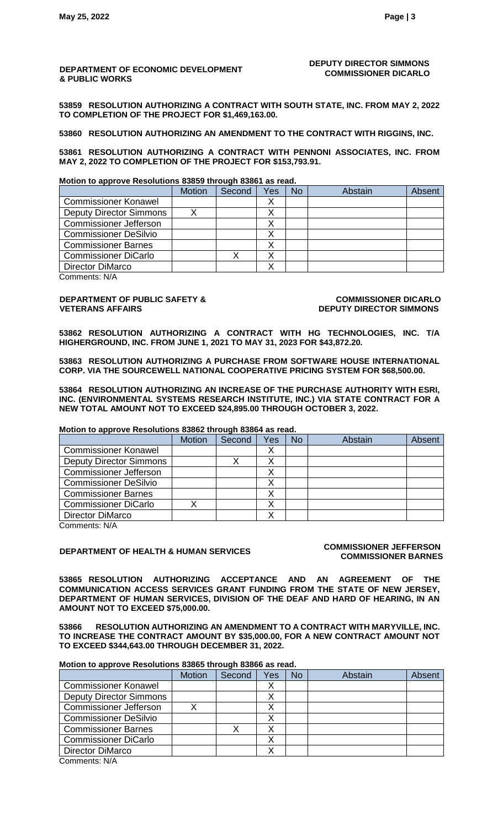#### **DEPARTMENT OF ECONOMIC DEVELOPMENT & PUBLIC WORKS**

#### **DEPUTY DIRECTOR SIMMONS COMMISSIONER DICARLO**

**53859 RESOLUTION AUTHORIZING A CONTRACT WITH SOUTH STATE, INC. FROM MAY 2, 2022 TO COMPLETION OF THE PROJECT FOR \$1,469,163.00.**

**53860 RESOLUTION AUTHORIZING AN AMENDMENT TO THE CONTRACT WITH RIGGINS, INC.**

**53861 RESOLUTION AUTHORIZING A CONTRACT WITH PENNONI ASSOCIATES, INC. FROM MAY 2, 2022 TO COMPLETION OF THE PROJECT FOR \$153,793.91.**

**Motion to approve Resolutions 83859 through 83861 as read.**

|                                | <b>Motion</b> | Second | Yes | No | Abstain | Absent |
|--------------------------------|---------------|--------|-----|----|---------|--------|
| <b>Commissioner Konawel</b>    |               |        |     |    |         |        |
| <b>Deputy Director Simmons</b> |               |        |     |    |         |        |
| <b>Commissioner Jefferson</b>  |               |        |     |    |         |        |
| <b>Commissioner DeSilvio</b>   |               |        |     |    |         |        |
| <b>Commissioner Barnes</b>     |               |        | ↗   |    |         |        |
| <b>Commissioner DiCarlo</b>    |               |        |     |    |         |        |
| Director DiMarco               |               |        |     |    |         |        |

Comments: N/A

#### **DEPARTMENT OF PUBLIC SAFETY & VETERANS AFFAIRS**

**COMMISSIONER DICARLO DEPUTY DIRECTOR SIMMONS**

**53862 RESOLUTION AUTHORIZING A CONTRACT WITH HG TECHNOLOGIES, INC. T/A HIGHERGROUND, INC. FROM JUNE 1, 2021 TO MAY 31, 2023 FOR \$43,872.20.** 

**53863 RESOLUTION AUTHORIZING A PURCHASE FROM SOFTWARE HOUSE INTERNATIONAL CORP. VIA THE SOURCEWELL NATIONAL COOPERATIVE PRICING SYSTEM FOR \$68,500.00.**

**53864 RESOLUTION AUTHORIZING AN INCREASE OF THE PURCHASE AUTHORITY WITH ESRI, INC. (ENVIRONMENTAL SYSTEMS RESEARCH INSTITUTE, INC.) VIA STATE CONTRACT FOR A NEW TOTAL AMOUNT NOT TO EXCEED \$24,895.00 THROUGH OCTOBER 3, 2022.**

**Motion to approve Resolutions 83862 through 83864 as read.**

|                                | <b>Motion</b> | Second | Yes | No | Abstain | Absent |
|--------------------------------|---------------|--------|-----|----|---------|--------|
| <b>Commissioner Konawel</b>    |               |        | ↗   |    |         |        |
| <b>Deputy Director Simmons</b> |               |        |     |    |         |        |
| <b>Commissioner Jefferson</b>  |               |        |     |    |         |        |
| <b>Commissioner DeSilvio</b>   |               |        |     |    |         |        |
| <b>Commissioner Barnes</b>     |               |        |     |    |         |        |
| <b>Commissioner DiCarlo</b>    |               |        |     |    |         |        |
| <b>Director DiMarco</b>        |               |        |     |    |         |        |

Comments: N/A

## **DEPARTMENT OF HEALTH & HUMAN SERVICES COMMISSIONER JEFFERSON**

# **COMMISSIONER BARNES**

**53865 RESOLUTION AUTHORIZING ACCEPTANCE AND AN AGREEMENT OF THE COMMUNICATION ACCESS SERVICES GRANT FUNDING FROM THE STATE OF NEW JERSEY, DEPARTMENT OF HUMAN SERVICES, DIVISION OF THE DEAF AND HARD OF HEARING, IN AN AMOUNT NOT TO EXCEED \$75,000.00.**

**53866 RESOLUTION AUTHORIZING AN AMENDMENT TO A CONTRACT WITH MARYVILLE, INC. TO INCREASE THE CONTRACT AMOUNT BY \$35,000.00, FOR A NEW CONTRACT AMOUNT NOT TO EXCEED \$344,643.00 THROUGH DECEMBER 31, 2022.** 

#### **Motion to approve Resolutions 83865 through 83866 as read.**

|                                | <b>Motion</b> | Second | Yes | No | Abstain | Absent |
|--------------------------------|---------------|--------|-----|----|---------|--------|
| <b>Commissioner Konawel</b>    |               |        |     |    |         |        |
| <b>Deputy Director Simmons</b> |               |        |     |    |         |        |
| <b>Commissioner Jefferson</b>  |               |        |     |    |         |        |
| <b>Commissioner DeSilvio</b>   |               |        |     |    |         |        |
| <b>Commissioner Barnes</b>     |               |        |     |    |         |        |
| <b>Commissioner DiCarlo</b>    |               |        |     |    |         |        |
| <b>Director DiMarco</b>        |               |        |     |    |         |        |
| $\bigcap$ 11/4                 |               |        |     |    |         |        |

Comments: N/A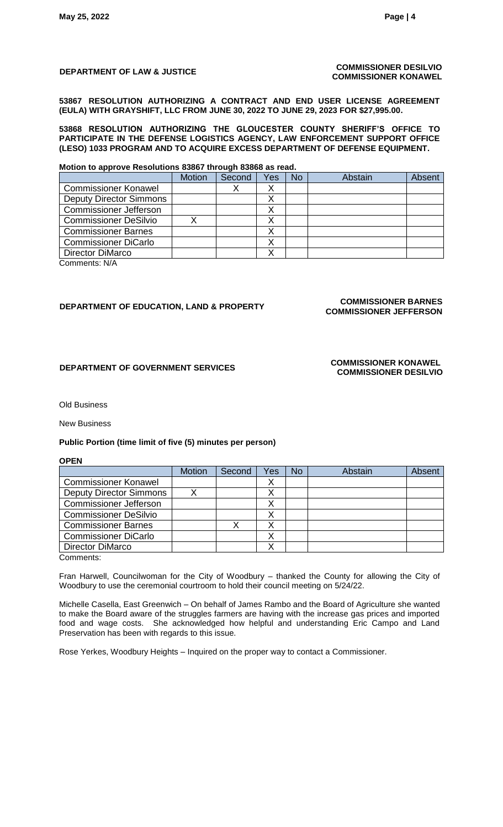#### **DEPARTMENT OF LAW & JUSTICE COMMISSIONER DESILVIO COMMISSIONER KONAWEL**

**53867 RESOLUTION AUTHORIZING A CONTRACT AND END USER LICENSE AGREEMENT (EULA) WITH GRAYSHIFT, LLC FROM JUNE 30, 2022 TO JUNE 29, 2023 FOR \$27,995.00.**

**53868 RESOLUTION AUTHORIZING THE GLOUCESTER COUNTY SHERIFF'S OFFICE TO PARTICIPATE IN THE DEFENSE LOGISTICS AGENCY, LAW ENFORCEMENT SUPPORT OFFICE (LESO) 1033 PROGRAM AND TO ACQUIRE EXCESS DEPARTMENT OF DEFENSE EQUIPMENT.**

#### **Motion to approve Resolutions 83867 through 83868 as read.**

| <b>Motion</b> | Second | Yes | No | Abstain | Absent |
|---------------|--------|-----|----|---------|--------|
|               |        |     |    |         |        |
|               |        |     |    |         |        |
|               |        |     |    |         |        |
|               |        |     |    |         |        |
|               |        |     |    |         |        |
|               |        |     |    |         |        |
|               |        |     |    |         |        |
|               |        |     |    |         |        |

Comments: N/A

## **DEPARTMENT OF EDUCATION, LAND & PROPERTY COMMISSIONER BARNES**

# **COMMISSIONER JEFFERSON**

### **DEPARTMENT OF GOVERNMENT SERVICES COMMISSIONER KONAWEL**

# **COMMISSIONER DESILVIO**

#### Old Business

#### New Business

#### **Public Portion (time limit of five (5) minutes per person)**

#### **OPEN**

| <b>Motion</b> | Second | Yes | <b>No</b> | Abstain | Absent |
|---------------|--------|-----|-----------|---------|--------|
|               |        |     |           |         |        |
|               |        |     |           |         |        |
|               |        |     |           |         |        |
|               |        |     |           |         |        |
|               |        |     |           |         |        |
|               |        |     |           |         |        |
|               |        |     |           |         |        |
|               |        |     |           |         |        |

Comments:

Fran Harwell, Councilwoman for the City of Woodbury – thanked the County for allowing the City of Woodbury to use the ceremonial courtroom to hold their council meeting on 5/24/22.

Michelle Casella, East Greenwich – On behalf of James Rambo and the Board of Agriculture she wanted to make the Board aware of the struggles farmers are having with the increase gas prices and imported food and wage costs. She acknowledged how helpful and understanding Eric Campo and Land Preservation has been with regards to this issue.

Rose Yerkes, Woodbury Heights – Inquired on the proper way to contact a Commissioner.